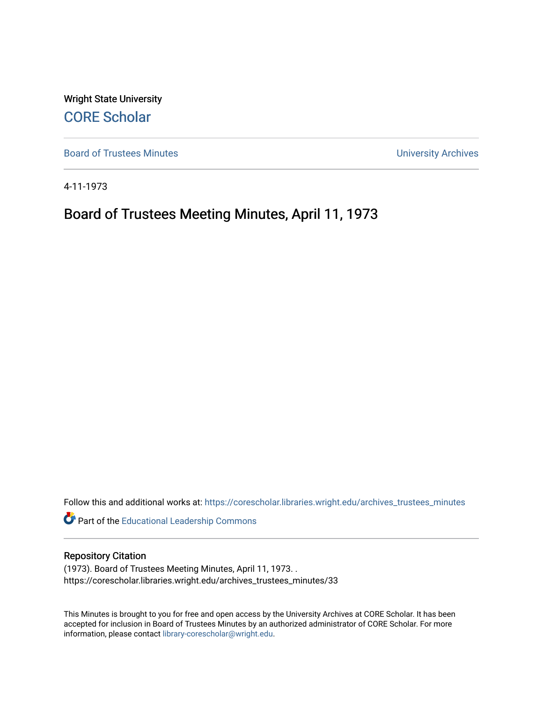Wright State University [CORE Scholar](https://corescholar.libraries.wright.edu/)

[Board of Trustees Minutes](https://corescholar.libraries.wright.edu/archives_trustees_minutes) **Exercise 2018** Solution 2018 10:30 Minutes University Archives

4-11-1973

# Board of Trustees Meeting Minutes, April 11, 1973

Follow this and additional works at: [https://corescholar.libraries.wright.edu/archives\\_trustees\\_minutes](https://corescholar.libraries.wright.edu/archives_trustees_minutes?utm_source=corescholar.libraries.wright.edu%2Farchives_trustees_minutes%2F33&utm_medium=PDF&utm_campaign=PDFCoverPages) 

Part of the [Educational Leadership Commons](https://network.bepress.com/hgg/discipline/1230?utm_source=corescholar.libraries.wright.edu%2Farchives_trustees_minutes%2F33&utm_medium=PDF&utm_campaign=PDFCoverPages) 

# Repository Citation

(1973). Board of Trustees Meeting Minutes, April 11, 1973. . https://corescholar.libraries.wright.edu/archives\_trustees\_minutes/33

This Minutes is brought to you for free and open access by the University Archives at CORE Scholar. It has been accepted for inclusion in Board of Trustees Minutes by an authorized administrator of CORE Scholar. For more information, please contact [library-corescholar@wright.edu.](mailto:library-corescholar@wright.edu)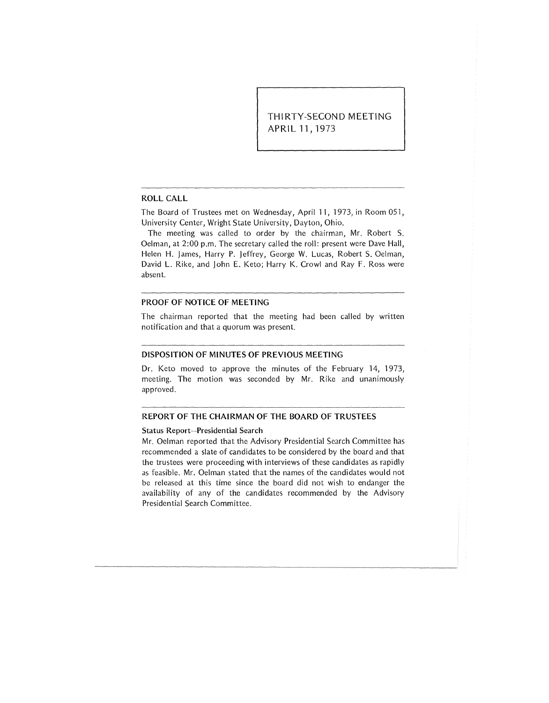THIRTY-SECOND MEETING APRIL 11, 1973

#### ROLL CALL

The Board of Trustees met on Wednesday, April 11, 1973, in Room 051, University Center, Wright State University, Dayton, Ohio.

The meeting was called to order by the chairman, Mr. Robert S. Oelman, at 2:00 p.m. The secretary called the roll: present were Dave Hall, Helen H. James, Harry P. Jeffrey, George W. Lucas, Robert S. Oelman, David L. Rike, and John E. Keto; Harry K. Crowl and Ray F. Ross were absent.

#### PROOF OF NOTICE OF MEETING

The chairman reported that the meeting had been called by written notification and that a quorum was present.

# DISPOSITION OF MINUTES OF PREVIOUS MEETING

Dr. Keto moved to approve the minutes of the February 14, 1973, meeting. The motion was seconded by Mr. Rike and unanimously approved.

# REPORT OF THE CHAIRMAN OF THE BOARD OF TRUSTEES

#### Status Report-Presidential Search

Mr. Oelman reported that the Advisory Presidential Search Committee has recommended a slate of candidates to be considered by the board and that the trustees were proceeding with interviews of these candidates as rapidly as feasible. Mr. Oelman stated that the names of the candidates would not be released at this time since the board did not wish to endanger the availability of any of the candidates recommended by the Advisory Presidential Search Committee.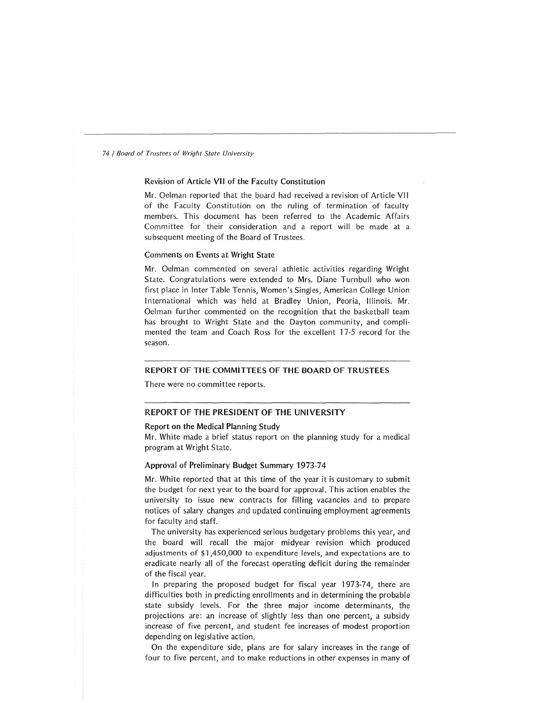# Revision of Article VII of the Faculty Constitution

Mr. Oelman reported that the board had received a revision of Article VI I of the Faculty Constitution on the ruling of termination of faculty members. This document has been referred to the Academic Affairs Committee for their consideration and a report will be made at a subsequent meeting of the Board of Trustees.

# Comments on Events at Wright State

Mr. Oelman commented on several athletic activities regarding Wright State. Congratulations were extended to Mrs. Diane Turnbull who won first place in Inter Table Tennis, Women's Singles, American College Union International which was held at Bradley Union, Peoria, Illinois. Mr. Oelman further commented on the recognition that the basketball team has brought to Wright State and the Dayton community, and complimented the team and Coach Ross for the excellent 17-5 record for the season.

# REPORT OF THE COMMITTEES OF THE BOARD OF TRUSTEES

There were no committee reports.

# REPORT OF THE PRESIDENT OF THE UNIVERSITY

#### Report on the Medical Planning Study

Mr. White made a brief status report on the planning study for a medical program at Wright State.

# Approval of Preliminary Budget Summary 1973-74

Mr. White reported that at this time of the year it is customary to submit the budget for next year to the board for approval. This action enables the university to issue new contracts for filling vacancies and to prepare notices of salary changes and updated continuing employment agreements for faculty and staff.

The university has experienced serious budgetary problems this year, and the board will recall the major midyear revision which produced adjustments of \$1,450,000 to expenditure levels, and expectations are to eradicate nearly all of the forecast operating deficit during the remainder of the fiscal year.

In preparing the proposed budget for fiscal year 1973-74, there are difficulties both in predicting enrollments and in determining the probable state subsidy levels. For the three major income determinants, the projections are: an increase of slightly less than one percent, a subsidy increase of five percent, and student fee increases of modest proportion depending on legislative action.

On the expenditure side, plans are for salary increases in the range of four to five percent, and to make reductions in other expenses in many of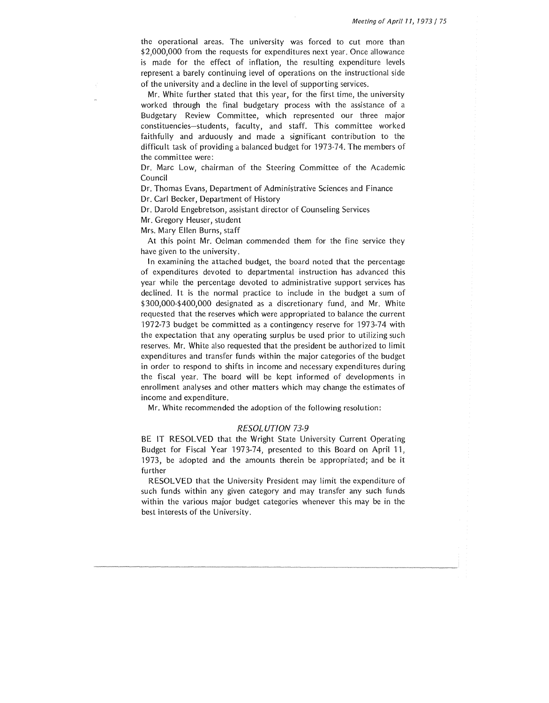the operational areas. The university was forced to cut more than \$2,000,000 from the requests for expenditures next year. Once allowance is made for the effect of inflation, the resulting expenditure levels represent a barely continuing ievel of operations on the instructional side of the university and a decline in the level of supporting services.

Mr. White further stated that this year, for the first time, the university worked through the final budgetary process with the assistance of a Budgetary Review Committee, which represented our three major constituencies-students, faculty, and staff. This committee worked faithfully and arduously and made a significant contribution to the difficult task of providing a balanced budget for 1973-74. The members of the committee were:

Dr. Marc Low, chairman of the Steering Committee of the Academic Council

Dr. Thomas Evans, Department of Administrative Sciences and Finance

Dr. Carl Becker, Department of History

Dr. Darold Engebretson, assistant director of Counseling Services

Mr. Gregory Heuser, student

Mrs. Mary Ellen Burns, staff

At this point Mr. Oelman commended them for the fine service they have given to the university.

In examining the attached budget, the board noted that the percentage of expenditures devoted to departmental instruction has advanced this year while the percentage devoted to administrative support services has declined. It is the normal practice to include in the budget a sum of \$300,000-\$400,000 designated as a discretionary fund, and Mr. White requested that the reserves which were appropriated to balance the current 1972-73 budget be committed as a contingency reserve for 1973-74 with the expectation that any operating surplus be used prior to utilizing such reserves. Mr. White also requested that the president be authorized to limit expenditures and transfer funds within the major categories of the budget in order to respond to shifts in income and necessary expenditures during the fiscal year. The board will be kept informed of developments in enrollment analyses and other matters which may change the estimates of income and expenditure.

Mr. White recommended the adoption of the following resolution:

# RESOLUTION 73-9

BE IT RESOLVED that the Wright State University Current Operating Budget for Fiscal Year 1973-74, presented to this Board on April 11, 1973, be adopted and the amounts therein be appropriated; and be it further

RESOLVED that the University President may limit the expenditure of such funds within any given category and may transfer any such funds within the various major budget categories whenever this may be in the best interests of the University.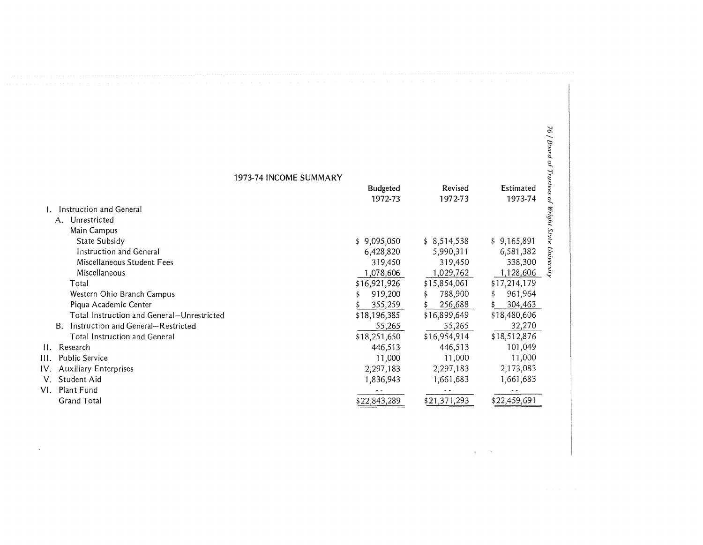| 1973-74 INCOME SUMMARY                     |                            |                    |                      |                         |
|--------------------------------------------|----------------------------|--------------------|----------------------|-------------------------|
|                                            | <b>Budgeted</b><br>1972-73 | Revised<br>1972-73 | Estimated<br>1973-74 | Trustees<br>$\tilde{c}$ |
| Instruction and General                    |                            |                    |                      |                         |
| Unrestricted<br>Α.                         |                            |                    |                      | Wright                  |
| Main Campus                                |                            |                    |                      |                         |
| State Subsidy                              | \$9,095,050                | \$8,514,538        | \$9,165,891          |                         |
| Instruction and General                    | 6,428,820                  | 5,990,311          | 6,581,382            |                         |
| Miscellaneous Student Fees                 | 319,450                    | 319,450            | 338,300              | University              |
| <b>Miscellaneous</b>                       | 1,078,606                  | 1,029,762          | 1,128,606            |                         |
| Total                                      | \$16,921,926               | \$15,854,061       | \$17,214,179         |                         |
| Western Ohio Branch Campus                 | 919,200                    | 788,900            | 961,964<br>\$        |                         |
| Piqua Academic Center                      | 355,259                    | 256,688            | 304,463              |                         |
| Total Instruction and General-Unrestricted | \$18,196,385               | \$16,899,649       | \$18,480,606         |                         |
| Instruction and General-Restricted<br>B.   | 55,265                     | 55,265             | 32,270               |                         |
| Total Instruction and General              | \$18,251,650               | \$16,954,914       | \$18,512,876         |                         |
| II. Research                               | 446,513                    | 446,513            | 101,049              |                         |
| Ш.<br><b>Public Service</b>                | 11,000                     | 11,000             | 11,000               |                         |
| IV. Auxiliary Enterprises                  | 2,297,183                  | 2,297,183          | 2,173,083            |                         |
| Student Aid<br>V.                          | 1,836,943                  | 1,661,683          | 1,661,683            |                         |
| VI.<br>Plant Fund                          |                            |                    |                      |                         |
| <b>Grand Total</b>                         | \$22,843,289               | \$21,371,293       | \$22,459,691         |                         |

 $\sim$ 

 $\gamma_{\lambda}$  $\mathcal{R}^{(n)}$  .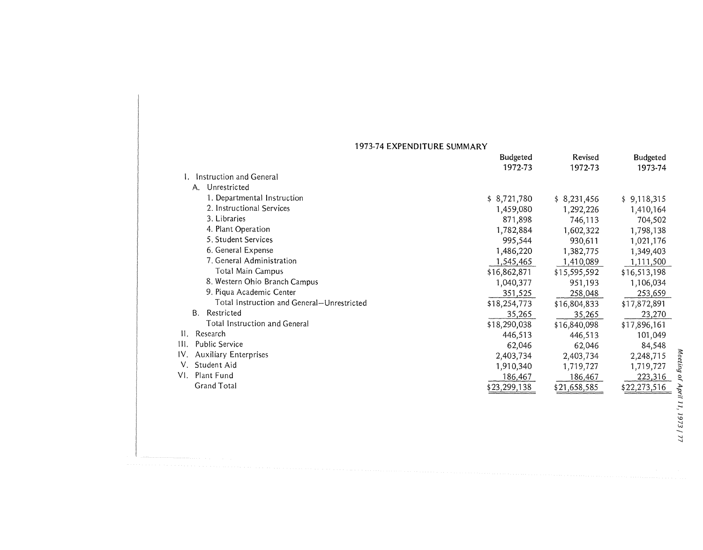# 1973-74 EXPENDITURE SUMMARY

|                                            | <b>Budgeted</b> | Revised      | Budgeted     |  |
|--------------------------------------------|-----------------|--------------|--------------|--|
|                                            | 1972-73         | 1972-73      | 1973-74      |  |
| Instruction and General                    |                 |              |              |  |
| Unrestricted<br>A.                         |                 |              |              |  |
| 1. Departmental Instruction                | \$8,721,780     | \$8,231,456  | \$9,118,315  |  |
| 2. Instructional Services                  | 1,459,080       | 1,292,226    | 1,410,164    |  |
| 3. Libraries                               | 871,898         | 746,113      | 704,502      |  |
| 4. Plant Operation                         | 1,782,884       | 1,602,322    | 1,798,138    |  |
| 5. Student Services                        | 995,544         | 930,611      | 1,021,176    |  |
| 6. General Expense                         | 1,486,220       | 1,382,775    | 1,349,403    |  |
| 7. General Administration                  | 1,545,465       | 1,410,089    | 1,111,500    |  |
| Total Main Campus                          | \$16,862,871    | \$15,595,592 | \$16,513,198 |  |
| 8. Western Ohio Branch Campus              | 1,040,377       | 951,193      | 1,106,034    |  |
| 9. Piqua Academic Center                   | 351,525         | 258,048      | 253,659      |  |
| Total Instruction and General-Unrestricted | \$18,254,773    | \$16,804,833 | \$17,872,891 |  |
| B.<br>Restricted                           | 35,265          | 35,265       | 23,270       |  |
| Total Instruction and General              | \$18,290,038    | \$16,840,098 | \$17,896,161 |  |
| II. Research                               | 446,513         | 446,513      | 101,049      |  |
| III. Public Service                        | 62,046          | 62,046       | 84,548       |  |
| IV. Auxiliary Enterprises                  | 2,403,734       | 2,403,734    | 2,248,715    |  |
| V. Student Aid                             | 1,910,340       | 1,719,727    | 1,719,727    |  |
| VI. Plant Fund                             | 186,467         | 186,467      | 223,316      |  |
| <b>Grand Total</b>                         | \$23,299,138    | \$21,658,585 | \$22,273,516 |  |

 $\ddot{\phantom{0}}$ 0 ...,, ว*ril 11,*  $973$ نی  $\overline{7}$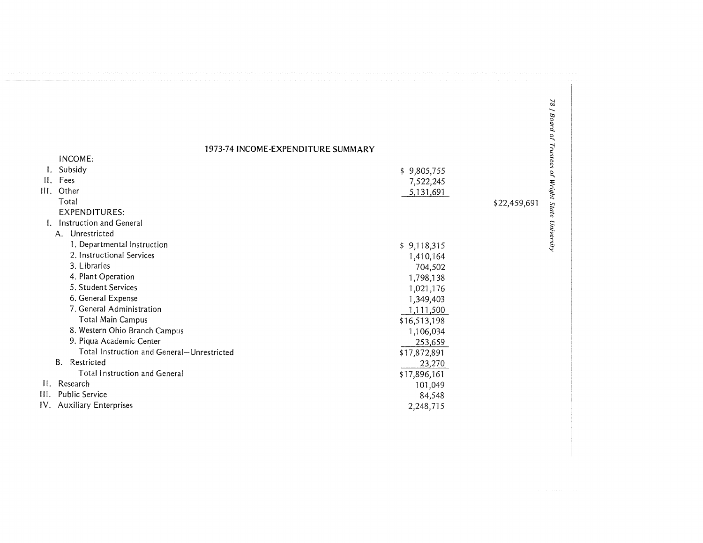1973-74 INCOME-EXPENDITURE SUMMARY

|                 | INCOME:                                    |              | tees                       |
|-----------------|--------------------------------------------|--------------|----------------------------|
|                 | Subsidy                                    | \$9,805,755  |                            |
| $\prod_{i=1}^n$ | Fees                                       | 7,522,245    |                            |
| Ш.              | Other                                      | 5,131,691    |                            |
|                 | Total                                      |              | \$22,459,691               |
|                 | <b>EXPENDITURES:</b>                       |              |                            |
|                 | Instruction and General                    |              |                            |
|                 | Unrestricted<br>$A_{-}$                    |              |                            |
|                 | 1. Departmental Instruction                | \$9,118,315  | of Wright State University |
|                 | 2. Instructional Services                  | 1,410,164    |                            |
|                 | 3. Libraries                               | 704,502      |                            |
|                 | 4. Plant Operation                         | 1,798,138    |                            |
|                 | 5. Student Services                        | 1,021,176    |                            |
|                 | 6. General Expense                         | 1,349,403    |                            |
|                 | 7. General Administration                  | 1,111,500    |                            |
|                 | <b>Total Main Campus</b>                   | \$16,513,198 |                            |
|                 | 8. Western Ohio Branch Campus              | 1,106,034    |                            |
|                 | 9. Piqua Academic Center                   | 253,659      |                            |
|                 | Total Instruction and General-Unrestricted | \$17,872,891 |                            |
|                 | <b>B.</b><br>Restricted                    | 23,270       |                            |
|                 | <b>Total Instruction and General</b>       | \$17,896,161 |                            |
| $\Pi$ .         | Research                                   | 101,049      |                            |
| III.            | <b>Public Service</b>                      | 84,548       |                            |
|                 | IV. Auxiliary Enterprises                  | 2,248,715    |                            |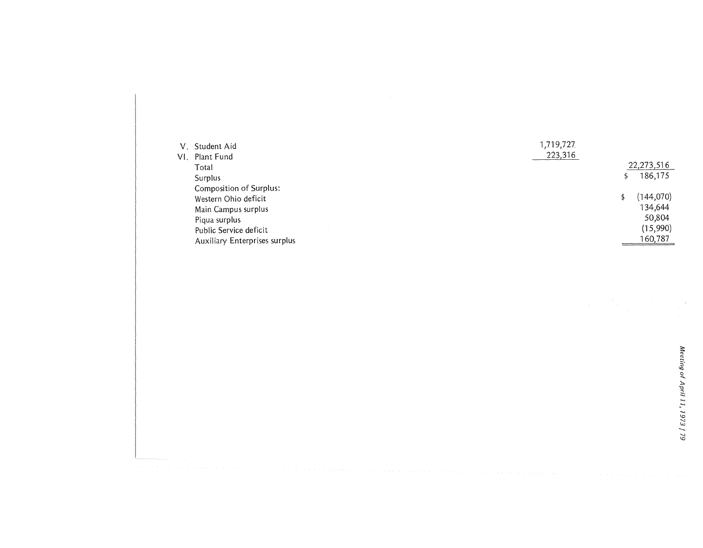| V. Student Aid                | 1,719,727 |            |
|-------------------------------|-----------|------------|
| VI. Plant Fund                | 223,316   |            |
| Total                         |           | 22,273,516 |
| Surplus                       |           | 186,175    |
| Composition of Surplus:       |           |            |
| Western Ohio deficit          |           | (144, 070) |
| Main Campus surplus           |           | 134,644    |
| Piqua surplus                 |           | 50,804     |
| Public Service deficit        |           | (15,990)   |
| Auxiliary Enterprises surplus |           | 160,787    |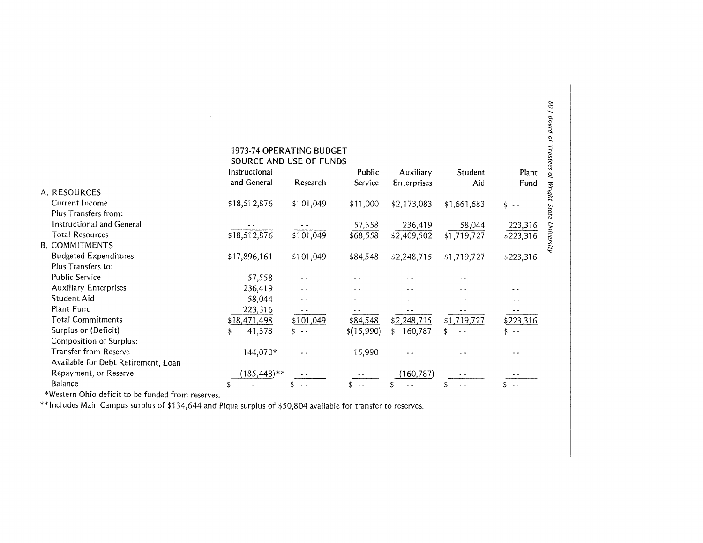|                                     |                         | 1273-74 OFLINATH 10 BUDGL I |            |                |             |               |                  |
|-------------------------------------|-------------------------|-----------------------------|------------|----------------|-------------|---------------|------------------|
|                                     | SOURCE AND USE OF FUNDS |                             |            |                |             |               | ustees           |
|                                     | Instructional           |                             | Public     | Auxiliary      | Student     | Plant         | $\tilde{\sigma}$ |
|                                     | and General             | Research                    | Service    | Enterprises    | Aid         | Fund          |                  |
| A. RESOURCES                        |                         |                             |            |                |             |               |                  |
| Current Income                      | \$18,512,876            | \$101,049                   | \$11,000   | \$2,173,083    | \$1,661,683 | $s -$         | Wright State     |
| Plus Transfers from:                |                         |                             |            |                |             |               |                  |
| Instructional and General           |                         |                             | 57,558     | 236,419        | 58,044      | 223,316       |                  |
| <b>Total Resources</b>              | \$18,512,876            | \$101,049                   | \$68,558   | \$2,409,502    | \$1,719,727 | \$223,316     | University       |
| <b>B. COMMITMENTS</b>               |                         |                             |            |                |             |               |                  |
| <b>Budgeted Expenditures</b>        | \$17,896,161            | \$101,049                   | \$84,548   | \$2,248,715    | \$1,719,727 | \$223,316     |                  |
| Plus Transfers to:                  |                         |                             |            |                |             |               |                  |
| <b>Public Service</b>               | 57,558                  |                             |            |                |             |               |                  |
| <b>Auxiliary Enterprises</b>        | 236,419                 | - -                         |            |                |             |               |                  |
| Student Aid                         | 58,044                  | . .                         |            |                |             |               |                  |
| Plant Fund                          | 223,316                 |                             |            |                |             |               |                  |
| <b>Total Commitments</b>            | \$18,471,498            | \$101,049                   | \$84,548   | \$2,248,715    | \$1,719,727 | \$223,316     |                  |
| Surplus or (Deficit)                | 41,378                  | $s -$                       | \$(15,990) | 160,787<br>\$. |             | s             |                  |
| Composition of Surplus:             |                         |                             |            |                |             |               |                  |
| <b>Transfer from Reserve</b>        | 144,070*                |                             | 15,990     |                |             |               |                  |
| Available for Debt Retirement, Loan |                         |                             |            |                |             |               |                  |
| Repayment, or Reserve               | $(185, 448)$ **         |                             |            | 160,787)       |             |               |                  |
| <b>Balance</b>                      |                         |                             | 5. – –     |                |             | $\sim$ $\sim$ |                  |
|                                     |                         |                             |            |                |             |               |                  |

1973-74 OPERATING BUDGET <sup>~</sup>

\*Western Ohio deficit to be funded from reserves.

\*\*Includes Main Campus surplus of \$134,644 and Piqua surplus of \$50,804 available for transfer to reserves.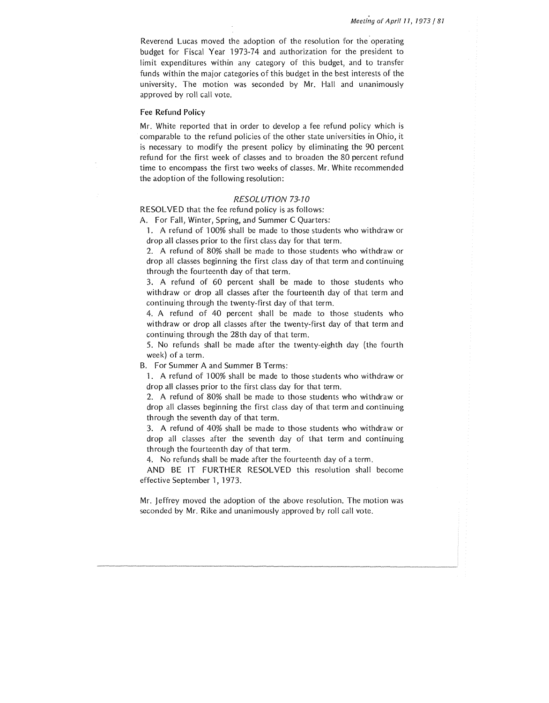Reverend Lucas moved the adoption of the resolution for the operating budget for Fiscal Year 1973-74 and authorization for the president to limit expenditures within any category of this budget, and to transfer funds within the major categories of this budget in the best interests of the university. The motion was seconded by Mr. Hall and unanimously approved by roll call vote.

#### Fee Refund Policy

Mr. White reported that in order to develop a fee refund policy which is comparable to the refund policies of the other state universities in Ohio, it is necessary to modify the present policy by eliminating the 90 percent refund for the first week of classes and to broaden the 80 percent refund time to encompass the first two weeks of classes. Mr. White recommended the adoption of the following resolution:

## RESOLUTION 73-70

RESOLVED that the fee refund policy is as follows:

A. For Fall, Winter, Spring, and Summer C Quarters:

1. A refund of 100% shall be made to those students who withdraw or drop all classes prior to the first class day for that term.

2. A refund of 80% shall be made to those students who withdraw or drop all classes beginning the first class day of that term and continuing through the fourteenth day of that term.

3. A refund of 60 percent shall be made to those students who withdraw or drop all classes after the fourteenth day of that term and continuing through the twenty-first day of that term.

4. A refund of 40 percent shall be made to those students who withdraw or drop all classes after the twenty-first day of that term and continuing through the 28th day of that term.

5. No refunds shall be made after the twenty-eighth day (the fourth week) of a term.

B. For Summer A and Summer B Terms:

1. A refund of 100% shall be made to those students who withdraw or drop all classes prior to the first class day for that term.

2. A refund of 80% shall be made to those students who withdraw or drop all classes beginning the first class day of that term and continuing through the seventh day of that term.

3. A refund of 40% shall be made to those students who withdraw or drop all classes after the seventh day of that term and continuing through the fourteenth day of that term.

4. No refunds shall be made after the fourteenth day of a term.

AND BE IT FURTHER RESOLVED this resolution shall become effective September 1, 1973.

Mr. Jeffrey moved the adoption of the above resolution. The motion was seconded by Mr. Rike and unanimously approved by roll call vote.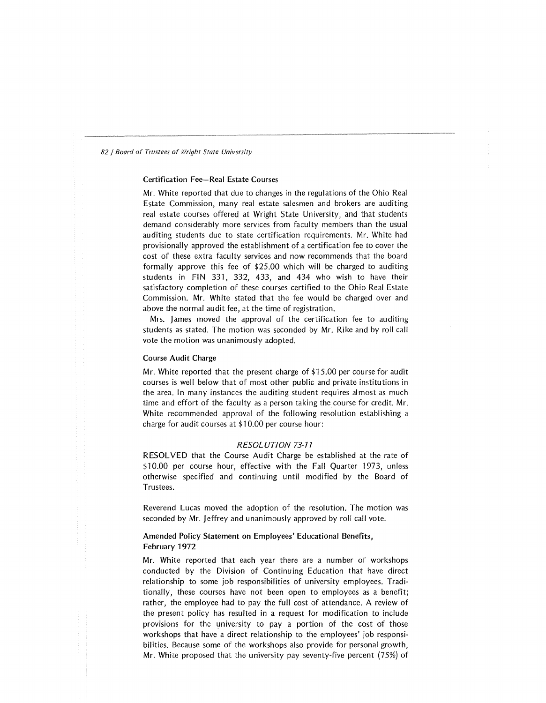# Certification Fee-Real Estate Courses

Mr. White reported that due to changes in the regulations of the Ohio Real Estate Commission, many real estate salesmen and brokers are auditing real estate courses offered at Wright State University, and that students demand considerably more services from faculty members than the usual auditing students due to state certification requirements. Mr. White had provisionally approved the establishment of a certification fee to cover the cost of these extra faculty services and now recommends that the board formally approve this fee of \$25.00 which will be charged to auditing students in FIN 331, 332, 433, and 434 who wish to have their satisfactory completion of these courses certified to the Ohio Real Estate Commission. Mr. White stated that the fee would be charged over and above the normal audit fee, at the time of registration.

Mrs. James moved the approval of the certification fee to auditing students as stated. The motion was seconded by Mr. Rike and by roll call vote the motion was unanimously adopted.

#### Course Audit Charge

Mr. White reported that the present charge of \$15.00 per course for audit courses is well below that of most other public and private institutions in the area. In many instances the auditing student requires almost as much time and effort of the faculty as a person taking the course for credit. Mr. White recommended approval of the following resolution establishing a charge for audit courses at \$10.00 per course hour:

# RESOLUTION 73-7 7

RESOLVED that the Course Audit Charge be established at the rate of \$10.00 per course hour, effective with the Fall Quarter 1973, unless otherwise specified and continuing until modified by the Board of Trustees.

Reverend Lucas moved the adoption of the resolution. The motion was seconded by Mr. Jeffrey and unanimously approved by roll call vote.

# Amended Policy Statement on Employees' Educational Benefits, February 1972

Mr. White reported that each year there are a number of workshops conducted by the Division of Continuing Education that have direct relationship to some job responsibilities of university employees. Traditionally, these courses have not been open to employees as a benefit; rather, the employee had to pay the full cost of attendance. A review of the present policy has resulted in a request for modification to include provisions for the university to pay a portion of the cost of those workshops that have a direct relationship to the employees' job responsibilities. Because some of the workshops also provide for personal growth, Mr. White proposed that the university pay seventy-five percent (75%) of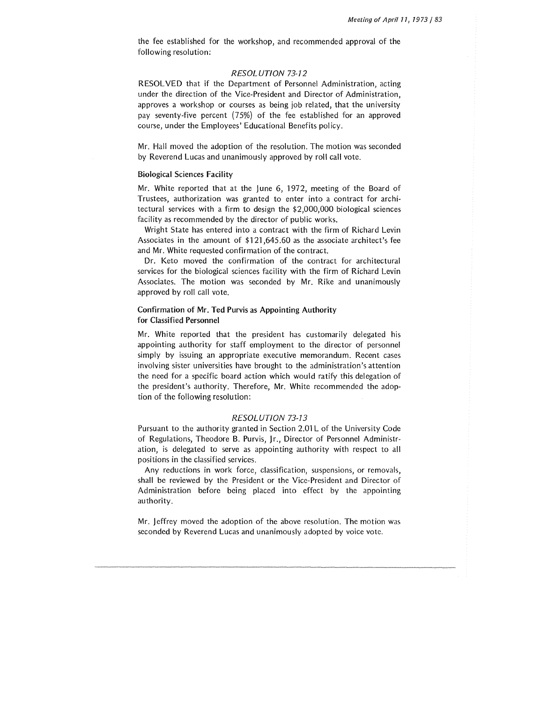the fee established for the workshop, and recommended approval of the following resolution:

# RESOLUTION 73-72

RESOLVED that if the Department of Personnel Administration, acting under the direction of the Vice-President and Director of Administration, approves a workshop or courses as being job related, that the university pay seventy-five percent (75%) of the fee established for an approved course, under the Employees' Educational Benefits policy.

Mr. Hall moved the adoption of the resolution. The motion was seconded by Reverend Lucas and unanimously approved by roll call vote.

## Biological Sciences Facility

Mr. White reported that at the June 6, 1972, meeting of the Board of Trustees, authorization was granted to enter into a contract for architectural services with a firm to design the \$2,000,000 biological sciences facility as recommended by the director of public works.

Wright State has entered into a contract with the firm of Richard Levin Associates in the amount of \$121 ,645.60 as the associate architect's fee and Mr. White requested confirmation of the contract.

Dr. Keto moved the confirmation of the contract for architectural services for the biological sciences facility with the firm of Richard Levin Associates. The motion was seconded by Mr. Rike and unanimously approved by roll call vote.

# Confirmation of Mr. Ted Purvis as Appointing Authority for Classified Personnel

Mr. White reported that the president has customarily delegated his appointing authority for staff employment to the director of personnel simply by issuing an appropriate executive memorandum. Recent cases involving sister universities have brought to the administration's attention the need for a specific board action which would ratify this delegation of the president's authority. Therefore, Mr. White recommended the adoption of the following resolution:

# RESOLUTION 73-73

Pursuant to the authority granted in Section 2.01L of the University Code of Regulations, Theodore B. Purvis, Jr., Director of Personnel Administration, is delegated to serve as appointing authority with respect to all positions in the classified services.

Any reductions in work force, classification, suspensions, or removals, shall be reviewed by the President or the Vice-President and Director of Administration before being placed into effect by the appointing authority.

Mr. Jeffrey moved the adoption of the above resolution. The motion was seconded by Reverend Lucas and unanimously adopted by voice vote.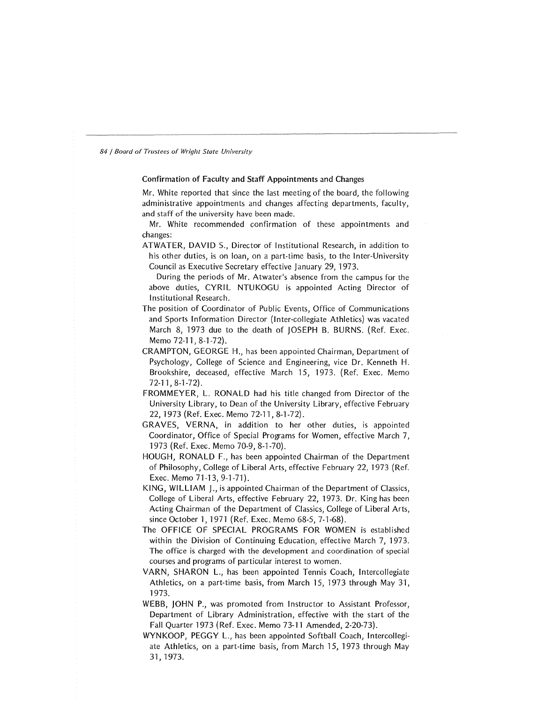# Confirmation of Faculty and Staff Appointments and Changes

Mr. White reported that since the last meeting of the board, the following administrative appointments and changes affecting departments, faculty, and staff of the university have been made.

Mr. White recommended confirmation of these appointments and changes:

ATWATER, DAVID S., Director of Institutional Research, in addition to his other duties, is on loan, on a part-time basis, to the Inter-University Council as Executive Secretary effective January 29, 1973.

During the periods of Mr. Atwater's absence from the campus for the above duties, CYRIL NTUKOGU is appointed Acting Director of Institutional Research.

- The position of Coordinator of Public Events, Office of Communications and Sports Information Director (Inter-collegiate Athletics) was vacated March 8, 1973 due to the death of JOSEPH B. BURNS. (Ref. Exec. Memo 72-11, 8-1-72).
- CRAMPTON, GEORGE H., has been appointed Chairman, Department of Psychology, College of Science and Engineering, vice Dr. Kenneth H. Brookshire, deceased, effective March 15, 1973. (Ref. Exec. Memo 72-11,8-1-72).
- FROMMEYER, L. RONALD had his title changed from Director of the University Library, to Dean of the University Library, effective February 22, 1973 (Ref. Exec. Memo 72-11, 8-1-72).
- GRAVES, VERNA, in addition to her other duties, is appointed Coordinator, Office of Special Programs for Women, effective March 7, 1973 (Ref. Exec. Memo 70-9, 8-1-70).
- HOUGH, RONALD F., has been appointed Chairman of the Department of Philosophy, College of Liberal Arts, effective February 22, 1973 (Ref. Exec. Memo 71-13, 9-1-71).
- KING, WILLIAM 1., is appointed Chairman of the Department of Classics, College of Liberal Arts, effective February 22, 1973. Dr. King has been Acting Chairman of the Department of Classics, College of Liberal Arts, since October 1, 1971 (Ref. Exec. Memo 68-5, 7-1-68).
- The OFFICE OF SPECIAL PROGRAMS FOR WOMEN is established within the Division of Continuing Education, effective March 7, 1973. The office is charged with the development and coordination of special courses and programs of particular interest to women.
- VARN, SHARON L., has been appointed Tennis Coach, Intercollegiate Athletics, on a part-time basis, from March 15, 1973 through May 31, 1973.
- WEBB, JOHN P., was promoted from Instructor to Assistant Professor, Department of Library Administration, effective with the start of the Fall Quarter 1973 (Ref. Exec. Memo 73-11Amended,2-20-73).
- WYNKOOP, PEGGY L., has been appointed Softball Coach, Intercollegiate Athletics, on a part-time basis, from March 15, 1973 through May 31, 1973.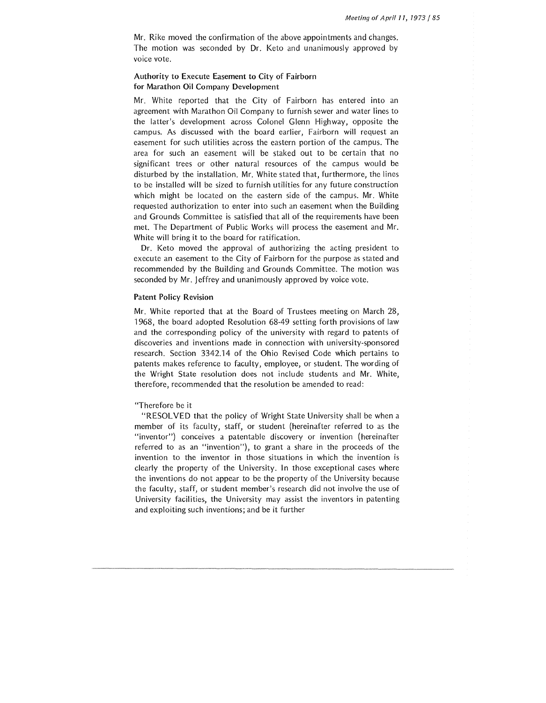Mr. Rike moved the confirmation of the above appointments and changes. The motion was seconded by Dr. Keto and unanimously approved by voice vote.

#### Authority to Execute Easement to City of Fairborn for Marathon Oil Company Development

Mr. White reported that the City of Fairborn has entered into an agreement with Marathon Oil Company to furnish sewer and water lines to the latter's development across Colonel Glenn Highway, opposite the campus. As discussed with the board earlier, Fairborn will request an easement for such utilities across the eastern portion of the campus. The area for such an easement will be staked out to be certain that no significant trees or other natural resources of the campus would be disturbed by the installation. Mr. White stated that, furthermore, the lines to be installed will be sized to furnish utilities for any future construction which might be located on the eastern side of the campus. Mr. White requested authorization to enter into such an easement when the Building and Grounds Committee is satisfied that all of the requirements have been met. The Department of Public Works will process the easement and Mr. White will bring it to the board for ratification.

Dr. Keto moved the approval of authorizing the acting president to execute an easement to the City of Fairborn for the purpose as stated and recommended by the Building and Grounds Committee. The motion was seconded by Mr. Jeffrey and unanimously approved by voice vote.

#### Patent Policy Revision

Mr. White reported that at the Board of Trustees meeting on March 28, 1968, the board adopted Resolution 68-49 setting forth provisions of law and the corresponding policy of the university with regard to patents of discoveries and inventions made in connection with university-sponsored research. Section 3342.14 of the Ohio Revised Code which pertains to patents makes reference to faculty, employee, or student. The wording of the Wright State resolution does not include students and Mr. White, therefore, recommended that the resolution be amended to read:

#### "Therefore be it

"RESOLVED that the policy of Wright State University shall be when a member of its faculty, staff, or student (hereinafter referred to as the "inventor") conceives a patentable discovery or invention (hereinafter referred to as an "invention"), to grant a share in the proceeds of the invention to the inventor in those situations in which the invention is clearly the property of the University. In those exceptional cases where the inventions do not appear to be the property of the University because the faculty, staff, or student member's research did not involve the use of University facilities, the University may assist the inventors in patenting and exploiting such inventions; and be it further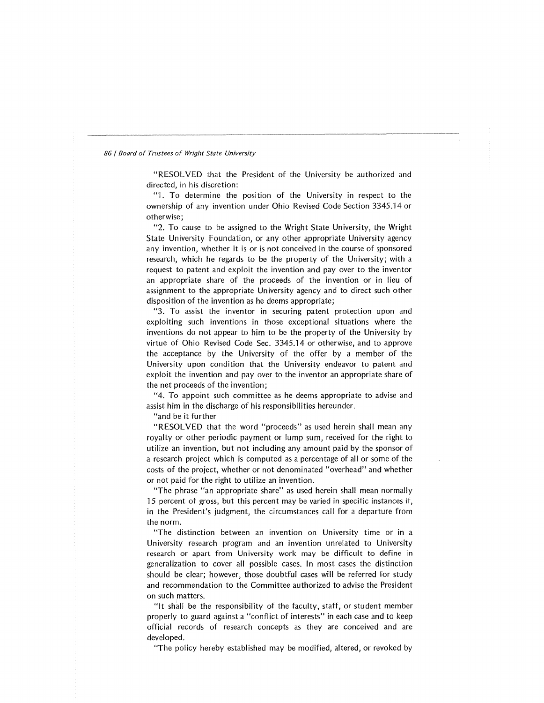"RESOLVED that the President of the University be authorized and directed, in his discretion:

"l. To determine the position of the University in respect to the ownership of any invention under Ohio Revised Code Section 3345.14 or otherwise;

"2. To cause to be assigned to the Wright State University, the Wright State University Foundation, or any other appropriate University agency any invention, whether it is or is not conceived in the course of sponsored research, which he regards to be the property of the University; with a request to patent and exploit the invention and pay over to the inventor an appropriate share of the proceeds of the invention or in lieu of assignment to the appropriate University agency and to direct such other disposition of the invention as he deems appropriate;

"3. To assist the inventor in securing patent protection upon and exploiting such inventions in those exceptional situations where the inventions do not appear to him to be the property of the University by virtue of Ohio Revised Code Sec. 3345.14 or otherwise, and to approve the acceptance by the University of the offer by a member of the University upon condition that the University endeavor to patent and exploit the invention and pay over to the inventor an appropriate share of the net proceeds of the invention;

"4. To appoint such committee as he deems appropriate to advise and assist him in the discharge of his responsibilities hereunder.

"and be it further

"RESOLVED that the word "proceeds" as used herein shall mean any royalty or other periodic payment or lump sum, received for the right to utilize an invention, but not including any amount paid by the sponsor of a research project which is computed as a percentage of all or some of the costs of the project, whether or not denominated "overhead" and whether or not paid for the right to utilize an invention.

"The phrase "an appropriate share" as used herein shall mean normally 15 percent of gross, but this percent may be varied in specific instances if, in the President's judgment, the circumstances call for a departure from the norm.

"The distinction between an invention on University time or in a University research program and an invention unrelated to University research or apart from University work may be difficult to define in generalization to cover all possible cases. In most cases the distinction should be clear; however, those doubtful cases will be referred for study and recommendation to the Committee authorized to advise the President on such matters.

"It shall be the responsibility of the faculty, staff, or student member properly to guard against a "conflict of interests" in each case and to keep official records of research concepts as they are conceived and are developed.

"The policy hereby established may be modified, altered, or revoked by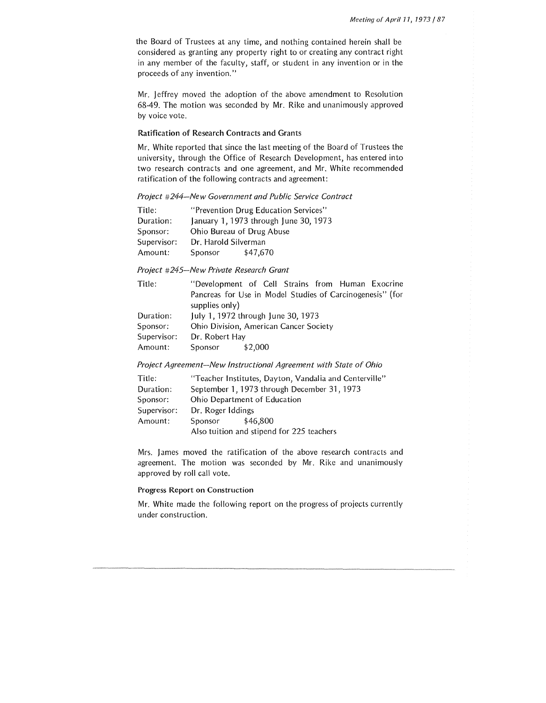the Board of Trustees at any time, and nothing contained herein shall be considered as granting any property right to or creating any contract right in any member of the faculty, staff, or student in any invention or in the proceeds of any invention."

Mr. Jeffrey moved the adoption of the above amendment to Resolution 68-49. The motion was seconded by Mr. Rike and unanimously approved by voice vote.

# Ratification of Research Contracts and Grants

Mr. White reported that since the last meeting of the Board of Trustees the university, through the Office of Research Development, has entered into two research contracts and one agreement, and Mr. White recommended ratification of the following contracts and agreement:

*Project #244-New Government and Public Service Contract* 

| Title:      |                           | "Prevention Drug Education Services"  |  |
|-------------|---------------------------|---------------------------------------|--|
| Duration:   |                           | January 1, 1973 through June 30, 1973 |  |
| Sponsor:    | Ohio Bureau of Drug Abuse |                                       |  |
| Supervisor: | Dr. Harold Silverman      |                                       |  |
| Amount:     | Sponsor                   | \$47,670                              |  |

*Project #245-New Private Research Grant* 

| Title:      | "Development of Cell Strains from Human Exocrine          |
|-------------|-----------------------------------------------------------|
|             | Pancreas for Use in Model Studies of Carcinogenesis" (for |
|             | supplies only)                                            |
| Duration:   | July 1, 1972 through June 30, 1973                        |
| Sponsor:    | Ohio Division, American Cancer Society                    |
| Supervisor: | Dr. Robert Hay                                            |
| Amount:     | Sponsor<br>\$2,000                                        |

*Project Agreement-New Instructional Agreement with State of Ohio* 

| Title:      | "Teacher Institutes, Dayton, Vandalia and Centerville" |
|-------------|--------------------------------------------------------|
| Duration:   | September 1, 1973 through December 31, 1973            |
| Sponsor:    | Ohio Department of Education                           |
| Supervisor: | Dr. Roger Iddings                                      |
| Amount:     | \$46.800<br>Sponsor                                    |
|             | Also tuition and stipend for 225 teachers              |

Mrs. James moved the ratification of the above research contracts and agreement. The motion was seconded by Mr. Rike and unanimously approved by roll call vote.

# Progress Report on Construction

Mr. White made the following report on the progress of projects currently under construction.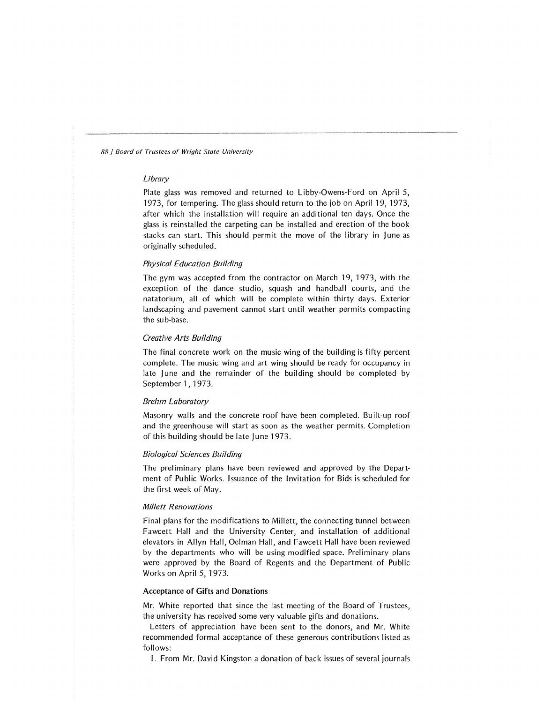### *Library*

Plate glass was removed and returned to Libby-Owens-Ford on April 5, 1973, for tempering. The glass should return to the job on April 19, 1973, after which the installation will require an additional ten days. Once the glass is reinstalled the carpeting can be installed and erection of the book stacks can start. This should permit the move of the library in June as originally scheduled.

# *Physical Education Building*

The gym was accepted from the contractor on March 19, 1973, with the exception of the dance studio, squash and handball courts, and the natatorium, all of which will be complete within thirty days. Exterior landscaping and pavement cannot start until weather permits compacting the sub-base.

# *Creative Arts Building*

The final concrete work on the music wing of the building is fifty percent complete. The music wing and art wing should be ready for occupancy in late June and the remainder of the building should be completed by September 1, 1973.

## *Brehm Laboratory*

Masonry walls and the concrete roof have been completed. Built-up roof and the greenhouse will start as soon as the weather permits. Completion of this building should be late June 1973.

# *Biological Sciences Building*

The preliminary plans have been reviewed and approved by the Department of Public Works. Issuance of the Invitation for Bids is scheduled for the first week of May.

#### *Millett Renovations*

Final plans for the modifications to Millett, the connecting tunnel between Fawcett Hall and the University Center, and installation of additional elevators in Allyn Hall, Oelman Hall, and Fawcett Hall have been reviewed by the departments who will be using modified space. Preliminary plans were approved by the Board of Regents and the Department of Public Works on April 5, 1973.

#### Acceptance of Gifts and Donations

Mr. White reported that since the last meeting of the Board of Trustees, the university has received some very valuable gifts and donations.

Letters of appreciation have been sent to the donors, and Mr. White recommended formal acceptance of these generous contributions listed as follows:

1. From Mr. David Kingston a donation of back issues of several journals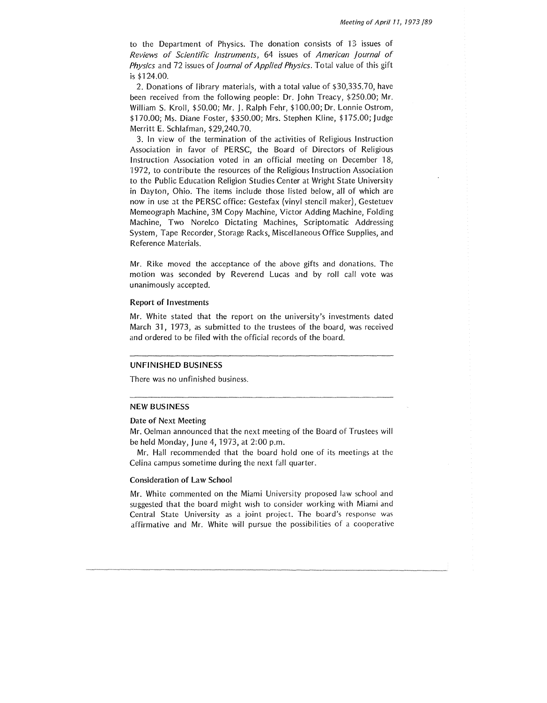to the Department of Physics. The donation consists of 13 issues of Reviews of Scientific Instruments, 64 issues of American journal of Physics and 72 issues of *Journal of Applied Physics*. Total value of this gift is \$124.00.

2. Donations of library materials, with a total value of \$30,335.70, have been received from the following people: Dr. john Treacy, \$250.00; Mr. William S. Kroll, \$50.00; Mr. J. Ralph Fehr, \$100.00; Dr. Lonnie Ostrom, \$170.00; Ms. Diane Foster, \$350.00; Mrs. Stephen Kline, \$175.00; Judge Merritt E. Schlafman, \$29,240.70.

3. In view of the termination of the activities of Religious Instruction Association in favor of PERSC, the Board of Directors of Religious Instruction Association voted in an official meeting on December 18, '1972, to contribute the resources of the Religious Instruction Association to the Public Education Religion Studies Center at Wright State University in Dayton, Ohio. The items include those listed below, all of which are now in use at the PERSC office: Gestefax (vinyl stencil maker), Gestetuev Memeograph Machine, 3M Copy Machine, Victor Adding Machine, Folding Machine, Two Norelco Dictating Machines, Scriptomatic Addressing System, Tape Recorder, Storage Racks, Miscellaneous Office Supplies, and Reference Materials.

Mr. Rike moved the acceptance of the above gifts and donations. The motion was seconded by Reverend Lucas and by roll call vote was unanimously accepted.

#### Report of Investments

Mr. White stated that the report on the university's investments dated March 31, 1973, as submitted to the trustees of the board, was received and ordered to be filed with the official records of the board.

#### UNFINISHED BUSINESS

There was no unfinished business.

#### NEW BUSINESS

#### Date of Next Meeting

Mr. Oelman announced that the next meeting of the Board of Trustees will be held Monday, June 4, 1973, at 2:00 p.m.

Mr. Hall recommended that the board hold one of its meetings at the Celina campus sometime during the next fall quarter.

#### Consideration of Law School

Mr. White commented on the Miami University proposed law school and suggested that the board might wish to consider working with Miami and Central State University as a joint project. The board's response was affirmative and Mr. White will pursue the possibilities of a cooperative